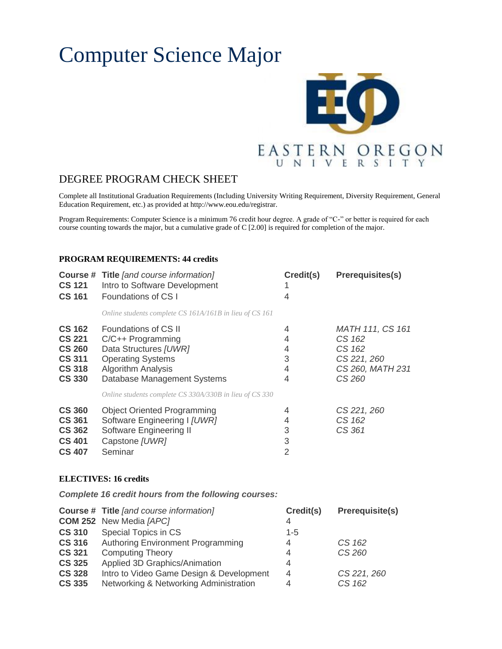# Computer Science Major



## DEGREE PROGRAM CHECK SHEET

Complete all Institutional Graduation Requirements (Including University Writing Requirement, Diversity Requirement, General Education Requirement, etc.) as provided at http://www.eou.edu/registrar.

Program Requirements: Computer Science is a minimum 76 credit hour degree. A grade of "C-" or better is required for each course counting towards the major, but a cumulative grade of C [2.00] is required for completion of the major.

#### **PROGRAM REQUIREMENTS: 44 credits**

| <b>CS 121</b><br><b>CS 161</b>                                                                     | <b>Course # Title [and course information]</b><br>Intro to Software Development<br>Foundations of CS I                                                                                | Credit(s)<br>4                     | <b>Prerequisites(s)</b>                                                                  |
|----------------------------------------------------------------------------------------------------|---------------------------------------------------------------------------------------------------------------------------------------------------------------------------------------|------------------------------------|------------------------------------------------------------------------------------------|
|                                                                                                    | Online students complete CS 161A/161B in lieu of CS 161                                                                                                                               |                                    |                                                                                          |
| <b>CS 162</b><br><b>CS 221</b><br><b>CS 260</b><br><b>CS 311</b><br><b>CS 318</b><br><b>CS 330</b> | Foundations of CS II<br>C/C++ Programming<br>Data Structures [UWR]<br><b>Operating Systems</b><br><b>Algorithm Analysis</b><br>Database Management Systems                            | 4<br>4<br>4<br>3<br>4<br>4         | <b>MATH 111, CS 161</b><br>CS 162<br>CS 162<br>CS 221, 260<br>CS 260, MATH 231<br>CS 260 |
| <b>CS 360</b><br><b>CS 361</b><br><b>CS 362</b><br><b>CS 401</b><br><b>CS 407</b>                  | Online students complete CS 330A/330B in lieu of CS 330<br><b>Object Oriented Programming</b><br>Software Engineering I [UWR]<br>Software Engineering II<br>Capstone [UWR]<br>Seminar | 4<br>4<br>3<br>3<br>$\overline{2}$ | CS 221, 260<br>CS 162<br>CS 361                                                          |

#### **ELECTIVES: 16 credits**

*Complete 16 credit hours from the following courses:*

|               | <b>Course # Title [and course information]</b> | Credit(s)      | <b>Prerequisite(s)</b> |
|---------------|------------------------------------------------|----------------|------------------------|
|               | <b>COM 252</b> New Media [APC]                 | 4              |                        |
| <b>CS 310</b> | Special Topics in CS                           | $1 - 5$        |                        |
| <b>CS 316</b> | Authoring Environment Programming              | 4              | CS 162                 |
| <b>CS 321</b> | <b>Computing Theory</b>                        | 4              | CS 260                 |
| <b>CS 325</b> | Applied 3D Graphics/Animation                  | 4              |                        |
| <b>CS 328</b> | Intro to Video Game Design & Development       | $\overline{4}$ | CS 221, 260            |
| <b>CS 335</b> | Networking & Networking Administration         | 4              | CS 162                 |